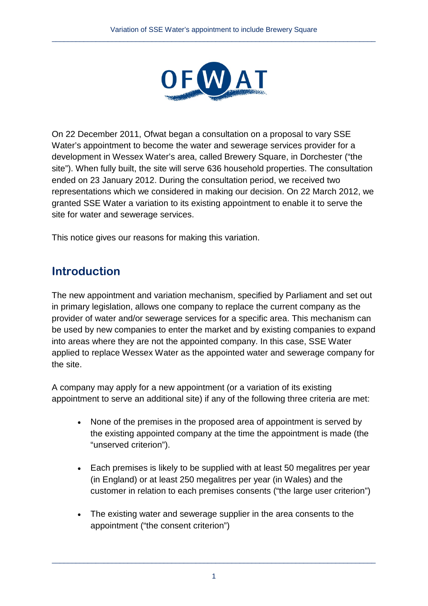

On 22 December 2011, Ofwat began a consultation on a proposal to vary SSE Water's appointment to become the water and sewerage services provider for a development in Wessex Water's area, called Brewery Square, in Dorchester ("the site"). When fully built, the site will serve 636 household properties. The consultation ended on 23 January 2012. During the consultation period, we received two representations which we considered in making our decision. On 22 March 2012, we granted SSE Water a variation to its existing appointment to enable it to serve the site for water and sewerage services.

This notice gives our reasons for making this variation.

## **Introduction**

The new appointment and variation mechanism, specified by Parliament and set out in primary legislation, allows one company to replace the current company as the provider of water and/or sewerage services for a specific area. This mechanism can be used by new companies to enter the market and by existing companies to expand into areas where they are not the appointed company. In this case, SSE Water applied to replace Wessex Water as the appointed water and sewerage company for the site.

A company may apply for a new appointment (or a variation of its existing appointment to serve an additional site) if any of the following three criteria are met:

- None of the premises in the proposed area of appointment is served by the existing appointed company at the time the appointment is made (the "unserved criterion").
- Each premises is likely to be supplied with at least 50 megalitres per year (in England) or at least 250 megalitres per year (in Wales) and the customer in relation to each premises consents ("the large user criterion")
- <span id="page-0-0"></span>• The existing water and sewerage supplier in the area consents to the appointment ("the consent criterion")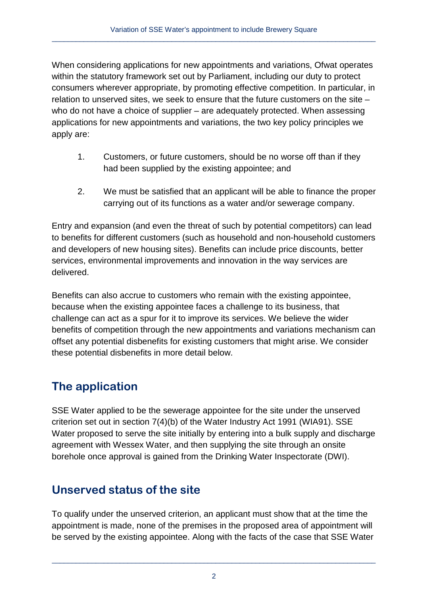When considering applications for new appointments and variations, Ofwat operates within the statutory framework set out by Parliament, including our duty to protect consumers wherever appropriate, by promoting effective competition. In particular, in relation to unserved sites, we seek to ensure that the future customers on the site – who do not have a choice of supplier – are adequately protected. When assessing applications for new appointments and variations, the two key policy principles we apply are:

- 1. Customers, or future customers, should be no worse off than if they had been supplied by the existing appointee; and
- 2. We must be satisfied that an applicant will be able to finance the proper carrying out of its functions as a water and/or sewerage company.

Entry and expansion (and even the threat of such by potential competitors) can lead to benefits for different customers (such as household and non-household customers and developers of new housing sites). Benefits can include price discounts, better services, environmental improvements and innovation in the way services are delivered.

Benefits can also accrue to customers who remain with the existing appointee, because when the existing appointee faces a challenge to its business, that challenge can act as a spur for it to improve its services. We believe the wider benefits of competition through the new appointments and variations mechanism can offset any potential disbenefits for existing customers that might arise. We consider these potential disbenefits in more detail below.

# **The application**

SSE Water applied to be the sewerage appointee for the site under the unserved criterion set out in section 7(4)(b) of the Water Industry Act 1991 (WIA91). SSE Water proposed to serve the site initially by entering into a bulk supply and discharge agreement with Wessex Water, and then supplying the site through an onsite borehole once approval is gained from the Drinking Water Inspectorate (DWI).

# **Unserved status of the site**

To qualify under the unserved criterion, an applicant must show that at the time the appointment is made, none of the premises in the proposed area of appointment will be served by the existing appointee. Along with the facts of the case that SSE Water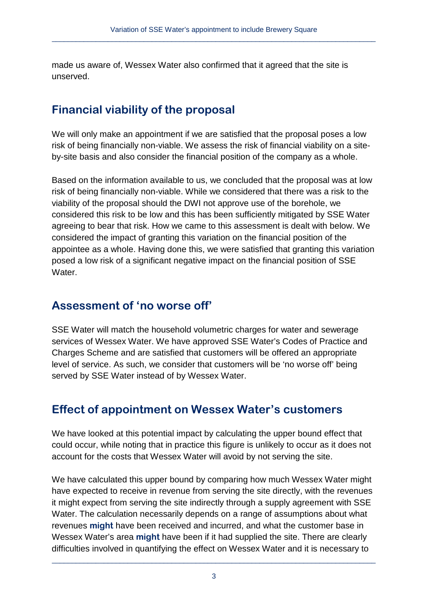made us aware of, Wessex Water also confirmed that it agreed that the site is unserved.

## **Financial viability of the proposal**

We will only make an appointment if we are satisfied that the proposal poses a low risk of being financially non-viable. We assess the risk of financial viability on a siteby-site basis and also consider the financial position of the company as a whole.

Based on the information available to us, we concluded that the proposal was at low risk of being financially non-viable. While we considered that there was a risk to the viability of the proposal should the DWI not approve use of the borehole, we considered this risk to be low and this has been sufficiently mitigated by SSE Water agreeing to bear that risk. How we came to this assessment is dealt with below. We considered the impact of granting this variation on the financial position of the appointee as a whole. Having done this, we were satisfied that granting this variation posed a low risk of a significant negative impact on the financial position of SSE Water.

## **Assessment of 'no worse off'**

SSE Water will match the household volumetric charges for water and sewerage services of Wessex Water. We have approved SSE Water's Codes of Practice and Charges Scheme and are satisfied that customers will be offered an appropriate level of service. As such, we consider that customers will be 'no worse off' being served by SSE Water instead of by Wessex Water.

## **Effect of appointment on Wessex Water's customers**

We have looked at this potential impact by calculating the upper bound effect that could occur, while noting that in practice this figure is unlikely to occur as it does not account for the costs that Wessex Water will avoid by not serving the site.

We have calculated this upper bound by comparing how much Wessex Water might have expected to receive in revenue from serving the site directly, with the revenues it might expect from serving the site indirectly through a supply agreement with SSE Water. The calculation necessarily depends on a range of assumptions about what revenues **might** have been received and incurred, and what the customer base in Wessex Water's area **might** have been if it had supplied the site. There are clearly difficulties involved in quantifying the effect on Wessex Water and it is necessary to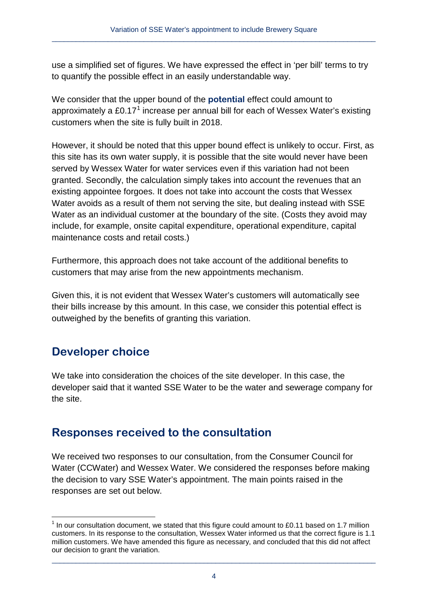use a simplified set of figures. We have expressed the effect in 'per bill' terms to try to quantify the possible effect in an easily understandable way.

We consider that the upper bound of the **potential** effect could amount to approximately a  $£0.17<sup>1</sup>$  $£0.17<sup>1</sup>$  $£0.17<sup>1</sup>$  increase per annual bill for each of Wessex Water's existing customers when the site is fully built in 2018.

However, it should be noted that this upper bound effect is unlikely to occur. First, as this site has its own water supply, it is possible that the site would never have been served by Wessex Water for water services even if this variation had not been granted. Secondly, the calculation simply takes into account the revenues that an existing appointee forgoes. It does not take into account the costs that Wessex Water avoids as a result of them not serving the site, but dealing instead with SSE Water as an individual customer at the boundary of the site. (Costs they avoid may include, for example, onsite capital expenditure, operational expenditure, capital maintenance costs and retail costs.)

Furthermore, this approach does not take account of the additional benefits to customers that may arise from the new appointments mechanism.

Given this, it is not evident that Wessex Water's customers will automatically see their bills increase by this amount. In this case, we consider this potential effect is outweighed by the benefits of granting this variation.

## **Developer choice**

We take into consideration the choices of the site developer. In this case, the developer said that it wanted SSE Water to be the water and sewerage company for the site.

## **Responses received to the consultation**

We received two responses to our consultation, from the Consumer Council for Water (CCWater) and Wessex Water. We considered the responses before making the decision to vary SSE Water's appointment. The main points raised in the responses are set out below.

<span id="page-3-0"></span> $1$  In our consultation document, we stated that this figure could amount to £0.11 based on 1.7 million customers. In its response to the consultation, Wessex Water informed us that the correct figure is 1.1 million customers. We have amended this figure as necessary, and concluded that this did not affect our decision to grant the variation.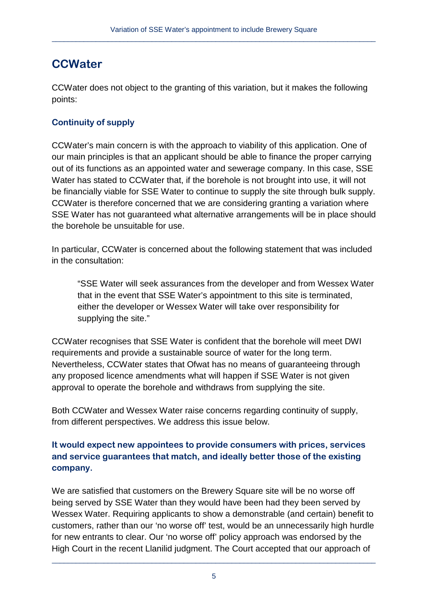## **CCWater**

CCWater does not object to the granting of this variation, but it makes the following points:

### **Continuity of supply**

CCWater's main concern is with the approach to viability of this application. One of our main principles is that an applicant should be able to finance the proper carrying out of its functions as an appointed water and sewerage company. In this case, SSE Water has stated to CCWater that, if the borehole is not brought into use, it will not be financially viable for SSE Water to continue to supply the site through bulk supply. CCWater is therefore concerned that we are considering granting a variation where SSE Water has not guaranteed what alternative arrangements will be in place should the borehole be unsuitable for use.

In particular, CCWater is concerned about the following statement that was included in the consultation:

"SSE Water will seek assurances from the developer and from Wessex Water that in the event that SSE Water's appointment to this site is terminated, either the developer or Wessex Water will take over responsibility for supplying the site."

CCWater recognises that SSE Water is confident that the borehole will meet DWI requirements and provide a sustainable source of water for the long term. Nevertheless, CCWater states that Ofwat has no means of guaranteeing through any proposed licence amendments what will happen if SSE Water is not given approval to operate the borehole and withdraws from supplying the site.

Both CCWater and Wessex Water raise concerns regarding continuity of supply, from different perspectives. We address this issue below.

### **It would expect new appointees to provide consumers with prices, services and service guarantees that match, and ideally better those of the existing company.**

We are satisfied that customers on the Brewery Square site will be no worse off being served by SSE Water than they would have been had they been served by Wessex Water. Requiring applicants to show a demonstrable (and certain) benefit to customers, rather than our 'no worse off' test, would be an unnecessarily high hurdle for new entrants to clear. Our 'no worse off' policy approach was endorsed by the High Court in the recent Llanilid judgment. The Court accepted that our approach of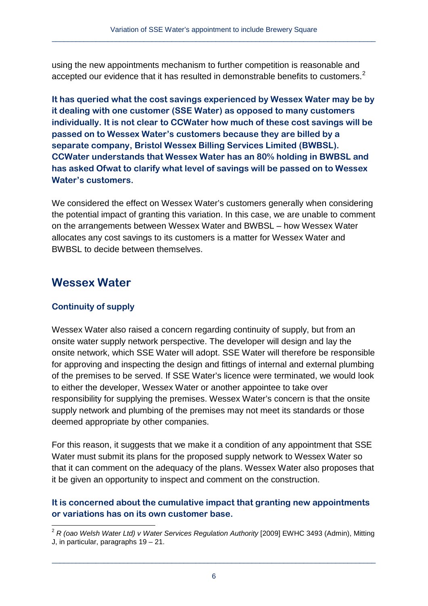using the new appointments mechanism to further competition is reasonable and accepted our evidence that it has resulted in demonstrable benefits to customers.<sup>[2](#page-3-0)</sup>

**It has queried what the cost savings experienced by Wessex Water may be by it dealing with one customer (SSE Water) as opposed to many customers individually. It is not clear to CCWater how much of these cost savings will be passed on to Wessex Water's customers because they are billed by a separate company, Bristol Wessex Billing Services Limited (BWBSL). CCWater understands that Wessex Water has an 80% holding in BWBSL and has asked Ofwat to clarify what level of savings will be passed on to Wessex Water's customers.**

We considered the effect on Wessex Water's customers generally when considering the potential impact of granting this variation. In this case, we are unable to comment on the arrangements between Wessex Water and BWBSL – how Wessex Water allocates any cost savings to its customers is a matter for Wessex Water and BWBSL to decide between themselves.

### **Wessex Water**

### **Continuity of supply**

Wessex Water also raised a concern regarding continuity of supply, but from an onsite water supply network perspective. The developer will design and lay the onsite network, which SSE Water will adopt. SSE Water will therefore be responsible for approving and inspecting the design and fittings of internal and external plumbing of the premises to be served. If SSE Water's licence were terminated, we would look to either the developer, Wessex Water or another appointee to take over responsibility for supplying the premises. Wessex Water's concern is that the onsite supply network and plumbing of the premises may not meet its standards or those deemed appropriate by other companies.

For this reason, it suggests that we make it a condition of any appointment that SSE Water must submit its plans for the proposed supply network to Wessex Water so that it can comment on the adequacy of the plans. Wessex Water also proposes that it be given an opportunity to inspect and comment on the construction.

#### **It is concerned about the cumulative impact that granting new appointments or variations has on its own customer base.**

<sup>&</sup>lt;sup>2</sup> R (oao Welsh Water Ltd) v Water Services Regulation Authority [2009] EWHC 3493 (Admin), Mitting J, in particular, paragraphs 19 – 21.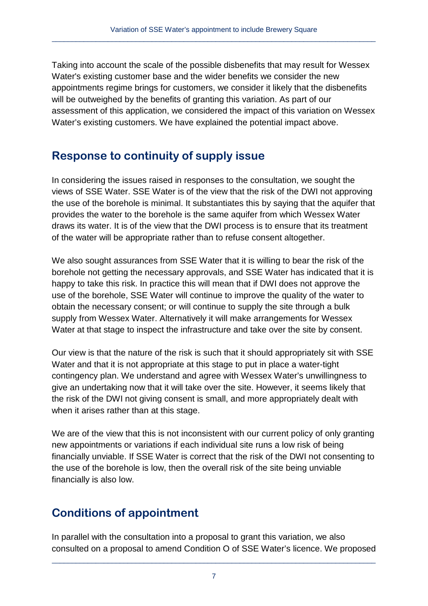Taking into account the scale of the possible disbenefits that may result for Wessex Water's existing customer base and the wider benefits we consider the new appointments regime brings for customers, we consider it likely that the disbenefits will be outweighed by the benefits of granting this variation. As part of our assessment of this application, we considered the impact of this variation on Wessex Water's existing customers. We have explained the potential impact above.

## **Response to continuity of supply issue**

In considering the issues raised in responses to the consultation, we sought the views of SSE Water. SSE Water is of the view that the risk of the DWI not approving the use of the borehole is minimal. It substantiates this by saying that the aquifer that provides the water to the borehole is the same aquifer from which Wessex Water draws its water. It is of the view that the DWI process is to ensure that its treatment of the water will be appropriate rather than to refuse consent altogether.

We also sought assurances from SSE Water that it is willing to bear the risk of the borehole not getting the necessary approvals, and SSE Water has indicated that it is happy to take this risk. In practice this will mean that if DWI does not approve the use of the borehole, SSE Water will continue to improve the quality of the water to obtain the necessary consent; or will continue to supply the site through a bulk supply from Wessex Water. Alternatively it will make arrangements for Wessex Water at that stage to inspect the infrastructure and take over the site by consent.

Our view is that the nature of the risk is such that it should appropriately sit with SSE Water and that it is not appropriate at this stage to put in place a water-tight contingency plan. We understand and agree with Wessex Water's unwillingness to give an undertaking now that it will take over the site. However, it seems likely that the risk of the DWI not giving consent is small, and more appropriately dealt with when it arises rather than at this stage.

We are of the view that this is not inconsistent with our current policy of only granting new appointments or variations if each individual site runs a low risk of being financially unviable. If SSE Water is correct that the risk of the DWI not consenting to the use of the borehole is low, then the overall risk of the site being unviable financially is also low.

## **Conditions of appointment**

In parallel with the consultation into a proposal to grant this variation, we also consulted on a proposal to amend Condition O of SSE Water's licence. We proposed